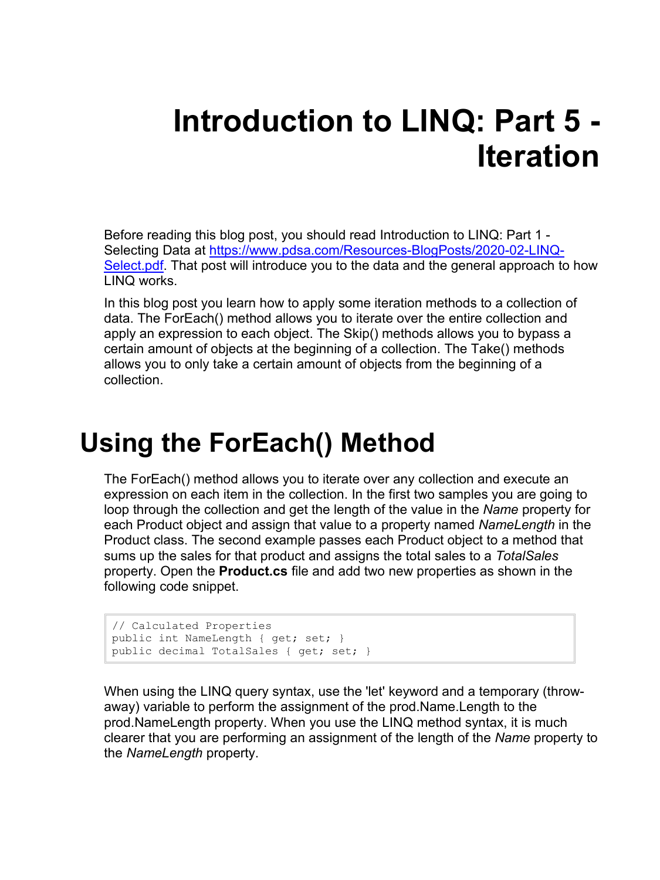# **Introduction to LINQ: Part 5 - Iteration**

Before reading this blog post, you should read Introduction to LINQ: Part 1 - Selecting Data at [https://www.pdsa.com/Resources-BlogPosts/2020-02-LINQ-](https://www.pdsa.com/Resources-BlogPosts/2020-02-LINQ-Select.pdf)[Select.pdf.](https://www.pdsa.com/Resources-BlogPosts/2020-02-LINQ-Select.pdf) That post will introduce you to the data and the general approach to how LINQ works.

In this blog post you learn how to apply some iteration methods to a collection of data. The ForEach() method allows you to iterate over the entire collection and apply an expression to each object. The Skip() methods allows you to bypass a certain amount of objects at the beginning of a collection. The Take() methods allows you to only take a certain amount of objects from the beginning of a collection.

#### **Using the ForEach() Method**

The ForEach() method allows you to iterate over any collection and execute an expression on each item in the collection. In the first two samples you are going to loop through the collection and get the length of the value in the *Name* property for each Product object and assign that value to a property named *NameLength* in the Product class. The second example passes each Product object to a method that sums up the sales for that product and assigns the total sales to a *TotalSales* property. Open the **Product.cs** file and add two new properties as shown in the following code snippet.

```
// Calculated Properties
public int NameLength { get; set; }
public decimal TotalSales { get; set; }
```
When using the LINQ query syntax, use the 'let' keyword and a temporary (throwaway) variable to perform the assignment of the prod.Name.Length to the prod.NameLength property. When you use the LINQ method syntax, it is much clearer that you are performing an assignment of the length of the *Name* property to the *NameLength* property.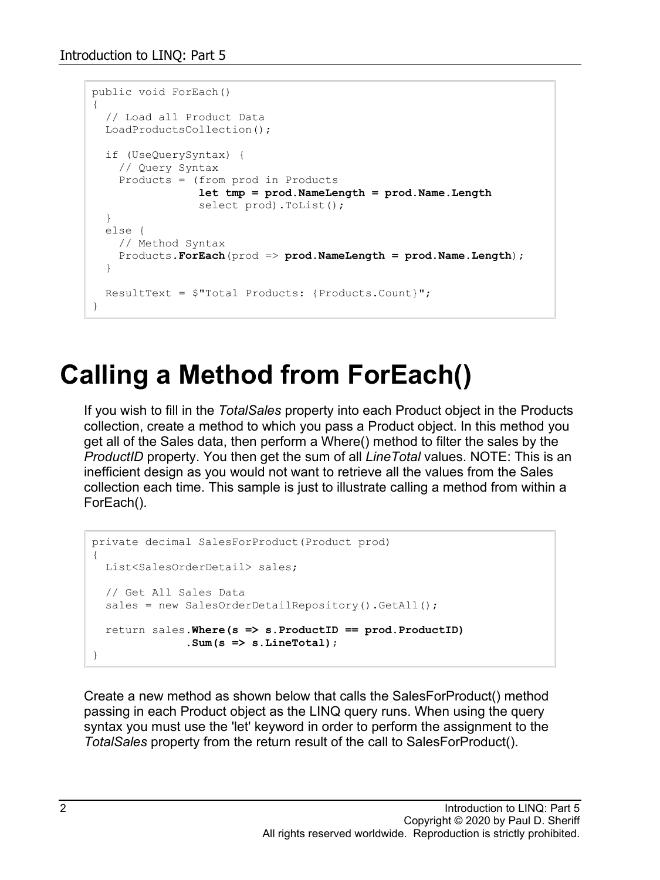```
public void ForEach()
{
   // Load all Product Data
  LoadProductsCollection();
  if (UseQuerySyntax) {
    // Query Syntax
    Products = (from prod in Products
                 let tmp = prod.NameLength = prod.Name.Length
               select prod).ToList();
   }
   else {
    // Method Syntax
    Products.ForEach(prod => prod.NameLength = prod.Name.Length);
   }
  ResultText = $"Total Products: {Products.Count}";
}
```
#### **Calling a Method from ForEach()**

If you wish to fill in the *TotalSales* property into each Product object in the Products collection, create a method to which you pass a Product object. In this method you get all of the Sales data, then perform a Where() method to filter the sales by the *ProductID* property. You then get the sum of all *LineTotal* values. NOTE: This is an inefficient design as you would not want to retrieve all the values from the Sales collection each time. This sample is just to illustrate calling a method from within a ForEach().

```
private decimal SalesForProduct(Product prod)
{
   List<SalesOrderDetail> sales;
  // Get All Sales Data
  sales = new SalesOrderDetailRepository().GetAll();
   return sales.Where(s => s.ProductID == prod.ProductID)
              .Sum(s \Rightarrow s.LineTotal);}
```
Create a new method as shown below that calls the SalesForProduct() method passing in each Product object as the LINQ query runs. When using the query syntax you must use the 'let' keyword in order to perform the assignment to the *TotalSales* property from the return result of the call to SalesForProduct().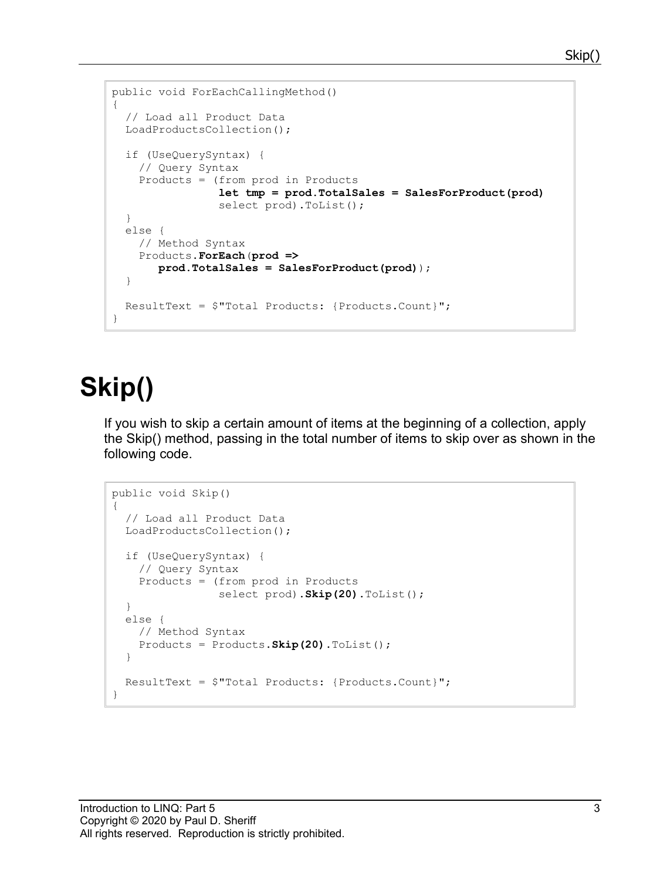#### Skip(

```
public void ForEachCallingMethod()
{
   // Load all Product Data
   LoadProductsCollection();
   if (UseQuerySyntax) {
     // Query Syntax
     Products = (from prod in Products
                  let tmp = prod.TotalSales = SalesForProduct(prod)
                 select prod).ToList();
   }
   else {
     // Method Syntax
     Products.ForEach(prod => 
        prod.TotalSales = SalesForProduct(prod));
   }
   ResultText = $"Total Products: {Products.Count}";
}
```
## **Skip()**

If you wish to skip a certain amount of items at the beginning of a collection, apply the Skip() method, passing in the total number of items to skip over as shown in the following code.

```
public void Skip()
{
   // Load all Product Data
   LoadProductsCollection();
   if (UseQuerySyntax) {
     // Query Syntax
     Products = (from prod in Products
                select prod).Skip(20).ToList();
   }
   else {
     // Method Syntax
     Products = Products.Skip(20).ToList();
   }
   ResultText = $"Total Products: {Products.Count}";
}
```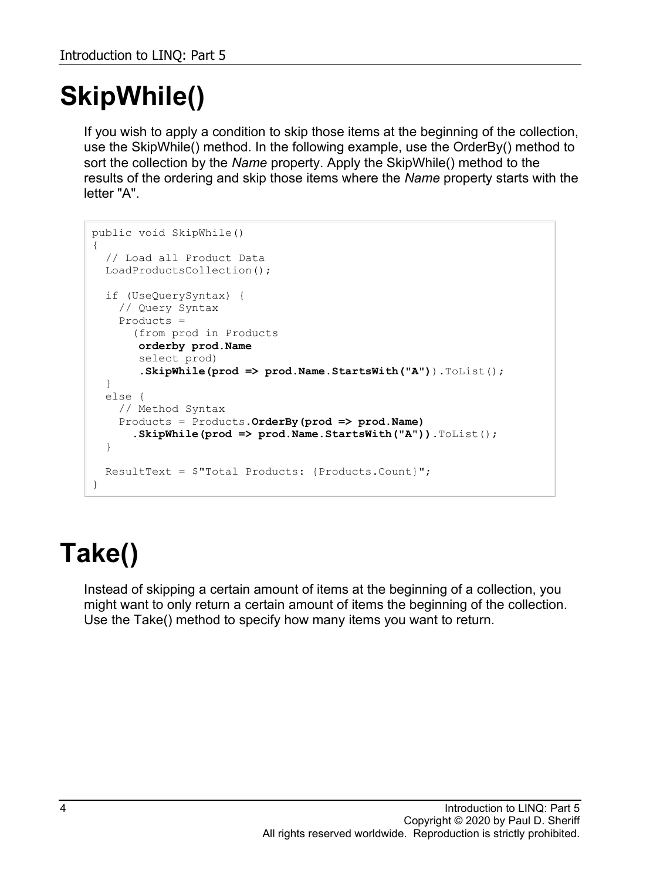# **SkipWhile()**

If you wish to apply a condition to skip those items at the beginning of the collection, use the SkipWhile() method. In the following example, use the OrderBy() method to sort the collection by the *Name* property. Apply the SkipWhile() method to the results of the ordering and skip those items where the *Name* property starts with the letter "A".

```
public void SkipWhile()
{
   // Load all Product Data
   LoadProductsCollection();
   if (UseQuerySyntax) {
    // Query Syntax
    Products = 
       (from prod in Products
        orderby prod.Name
        select prod)
        .SkipWhile(prod => prod.Name.StartsWith("A")).ToList();
   }
   else {
    // Method Syntax
    Products = Products.OrderBy(prod => prod.Name)
       .SkipWhile(prod => prod.Name.StartsWith("A")).ToList();
   }
   ResultText = $"Total Products: {Products.Count}";
}
```
# **Take()**

Instead of skipping a certain amount of items at the beginning of a collection, you might want to only return a certain amount of items the beginning of the collection. Use the Take() method to specify how many items you want to return.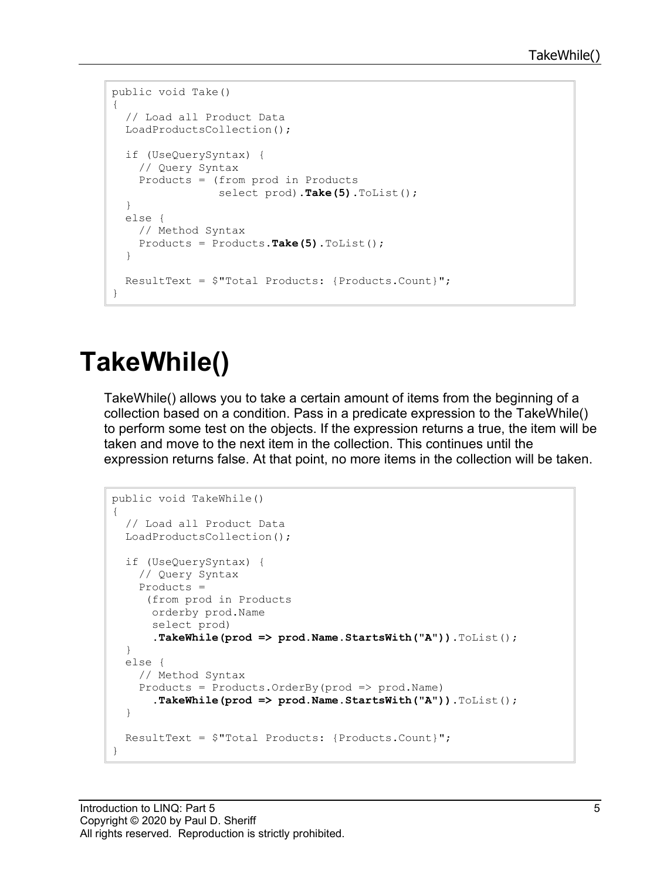```
public void Take()
{
   // Load all Product Data
   LoadProductsCollection();
   if (UseQuerySyntax) {
     // Query Syntax
     Products = (from prod in Products
                  select prod).Take(5).ToList();
   }
   else {
     // Method Syntax
     Products = Products.Take(5).ToList();
   }
   ResultText = $"Total Products: {Products.Count}";
}
```
# **TakeWhile()**

TakeWhile() allows you to take a certain amount of items from the beginning of a collection based on a condition. Pass in a predicate expression to the TakeWhile() to perform some test on the objects. If the expression returns a true, the item will be taken and move to the next item in the collection. This continues until the expression returns false. At that point, no more items in the collection will be taken.

```
public void TakeWhile()
{
   // Load all Product Data
  LoadProductsCollection();
   if (UseQuerySyntax) {
     // Query Syntax
    Products = 
     (from prod in Products
      orderby prod.Name
      select prod)
      .TakeWhile(prod => prod.Name.StartsWith("A")).ToList();
   }
  else {
     // Method Syntax
     Products = Products.OrderBy(prod => prod.Name)
      .TakeWhile(prod => prod.Name.StartsWith("A")).ToList();
   }
  ResultText = $"Total Products: {Products.Count}";
}
```